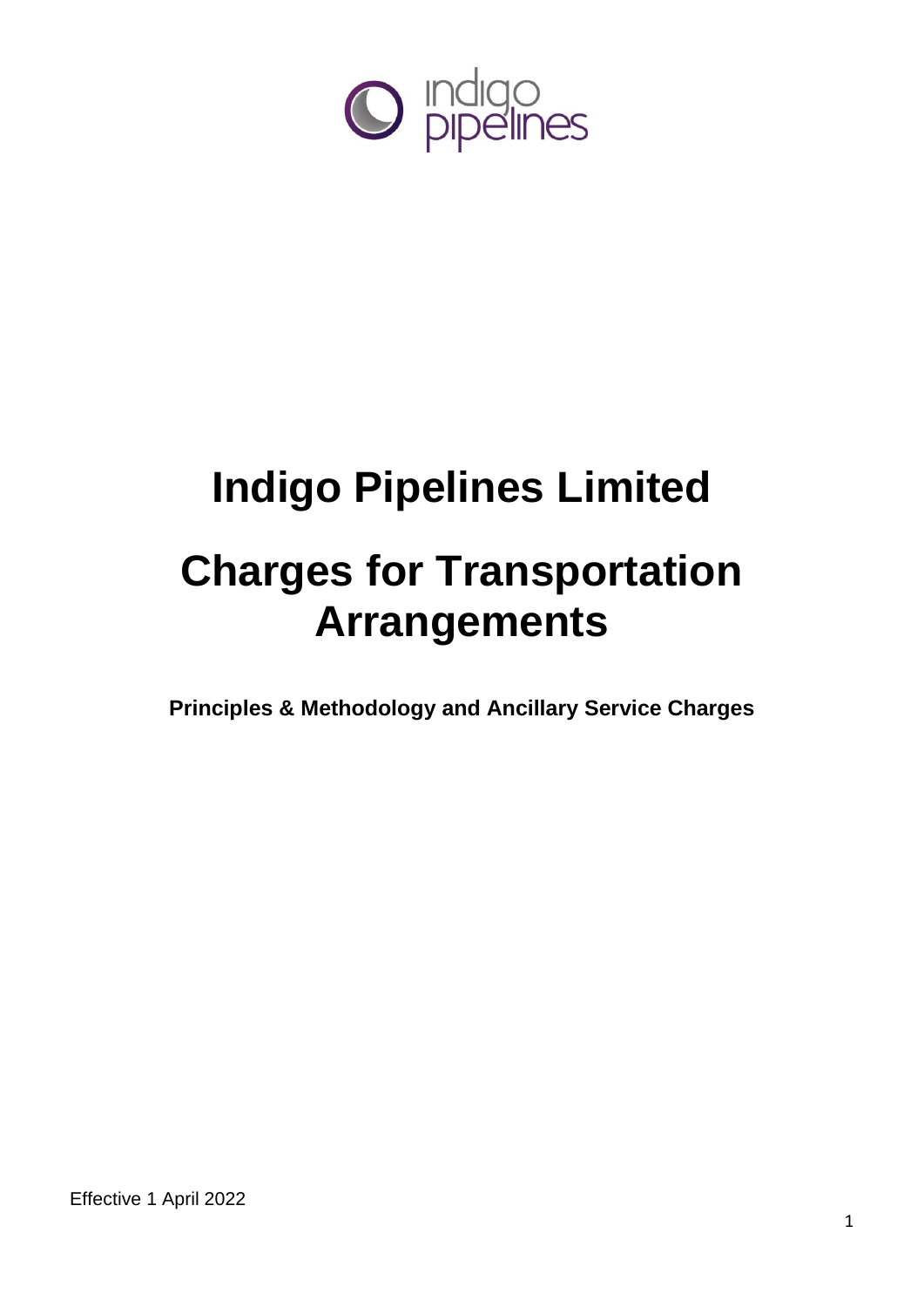

# **Indigo Pipelines Limited Charges for Transportation Arrangements**

**Principles & Methodology and Ancillary Service Charges**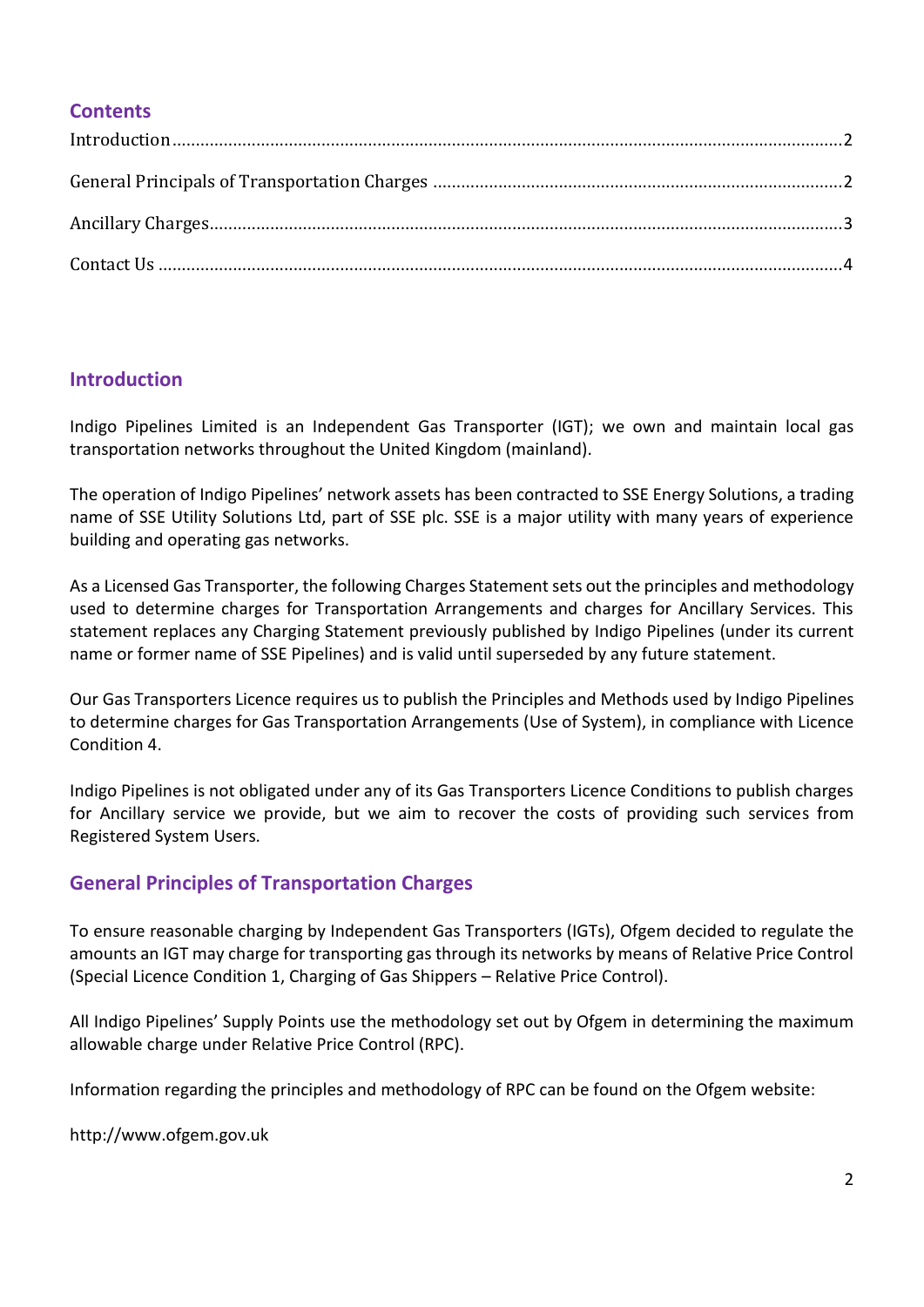## **Contents**

## <span id="page-1-0"></span>**Introduction**

Indigo Pipelines Limited is an Independent Gas Transporter (IGT); we own and maintain local gas transportation networks throughout the United Kingdom (mainland).

The operation of Indigo Pipelines' network assets has been contracted to SSE Energy Solutions, a trading name of SSE Utility Solutions Ltd, part of SSE plc. SSE is a major utility with many years of experience building and operating gas networks.

As a Licensed Gas Transporter, the following Charges Statement sets out the principles and methodology used to determine charges for Transportation Arrangements and charges for Ancillary Services. This statement replaces any Charging Statement previously published by Indigo Pipelines (under its current name or former name of SSE Pipelines) and is valid until superseded by any future statement.

Our Gas Transporters Licence requires us to publish the Principles and Methods used by Indigo Pipelines to determine charges for Gas Transportation Arrangements (Use of System), in compliance with Licence Condition 4.

Indigo Pipelines is not obligated under any of its Gas Transporters Licence Conditions to publish charges for Ancillary service we provide, but we aim to recover the costs of providing such services from Registered System Users.

## <span id="page-1-1"></span>**General Principles of Transportation Charges**

To ensure reasonable charging by Independent Gas Transporters (IGTs), Ofgem decided to regulate the amounts an IGT may charge for transporting gas through its networks by means of Relative Price Control (Special Licence Condition 1, Charging of Gas Shippers – Relative Price Control).

All Indigo Pipelines' Supply Points use the methodology set out by Ofgem in determining the maximum allowable charge under Relative Price Control (RPC).

Information regarding the principles and methodology of RPC can be found on the Ofgem website:

http://www.ofgem.gov.uk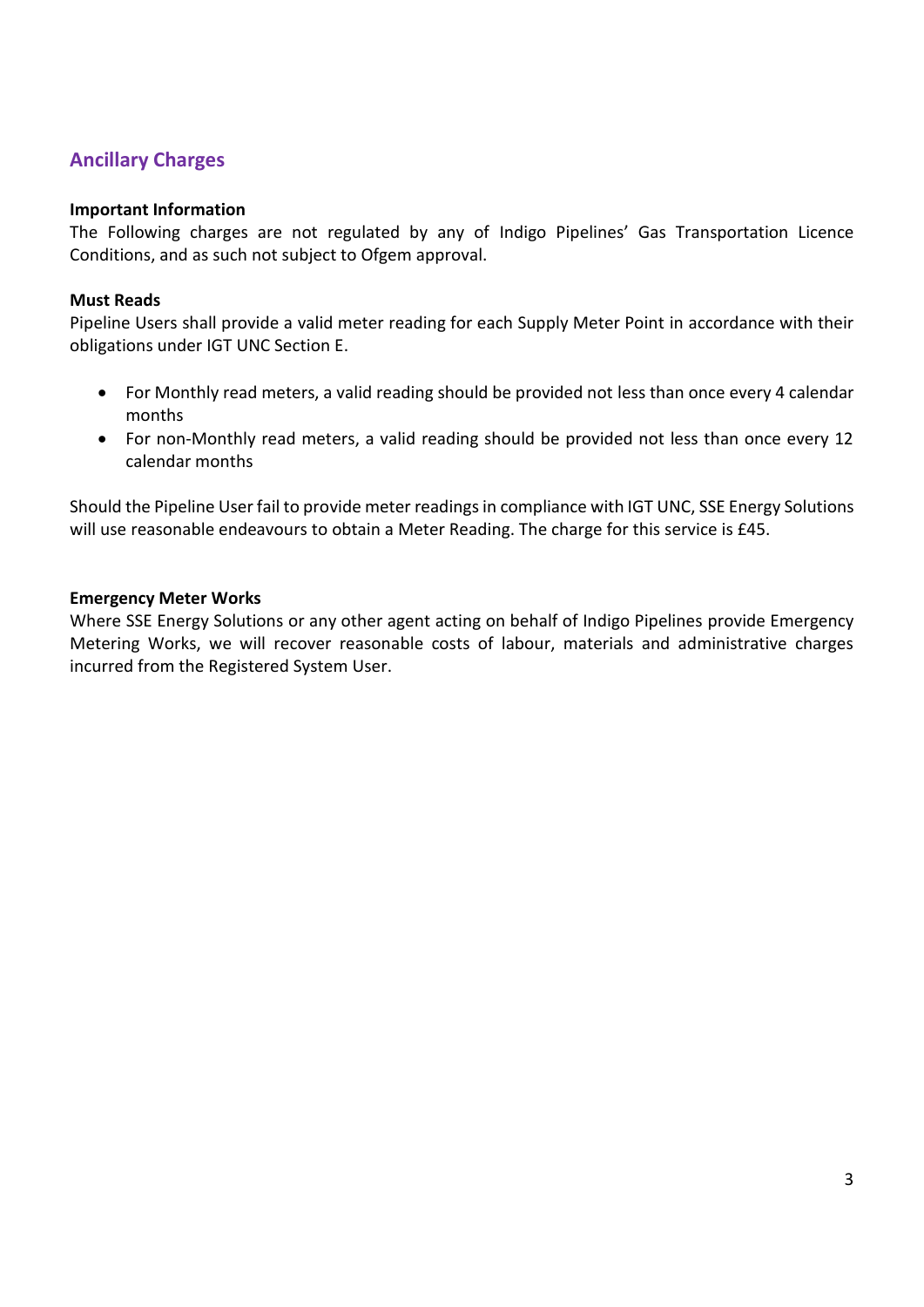# <span id="page-2-0"></span>**Ancillary Charges**

## **Important Information**

The Following charges are not regulated by any of Indigo Pipelines' Gas Transportation Licence Conditions, and as such not subject to Ofgem approval.

## **Must Reads**

Pipeline Users shall provide a valid meter reading for each Supply Meter Point in accordance with their obligations under IGT UNC Section E.

- For Monthly read meters, a valid reading should be provided not less than once every 4 calendar months
- For non-Monthly read meters, a valid reading should be provided not less than once every 12 calendar months

Should the Pipeline User fail to provide meter readings in compliance with IGT UNC, SSE Energy Solutions will use reasonable endeavours to obtain a Meter Reading. The charge for this service is £45.

## **Emergency Meter Works**

Where SSE Energy Solutions or any other agent acting on behalf of Indigo Pipelines provide Emergency Metering Works, we will recover reasonable costs of labour, materials and administrative charges incurred from the Registered System User.